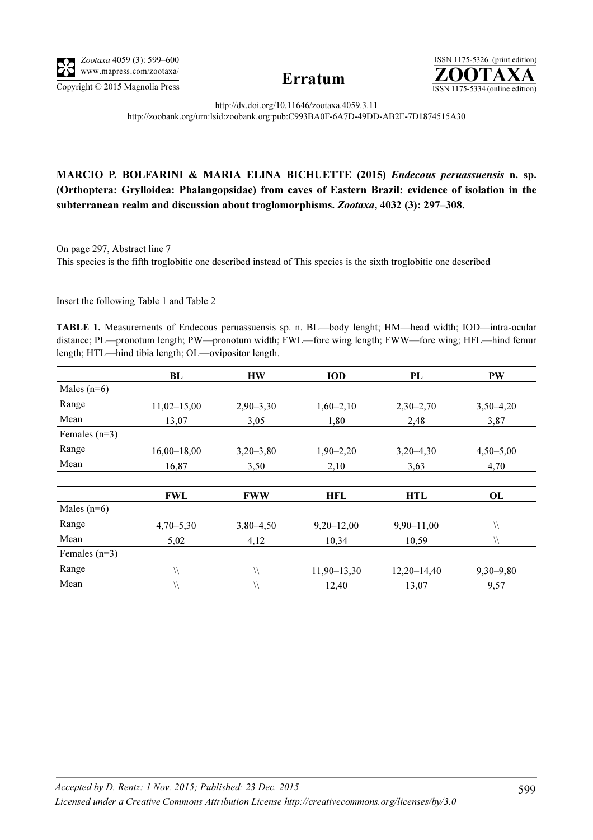



http://dx.doi.org/10.11646/zootaxa.4059.3.11 http://zoobank.org/urn:lsid:zoobank.org:pub:C993BA0F-6A7D-49DD-AB2E-7D1874515A30

## MARCIO P. BOLFARINI & MARIA ELINA BICHUETTE (2015) Endecous peruassuensis n. sp. (Orthoptera: Grylloidea: Phalangopsidae) from caves of Eastern Brazil: evidence of isolation in the subterranean realm and discussion about troglomorphisms. Zootaxa, 4032 (3): 297–308.

On page 297, Abstract line 7

This species is the fifth troglobitic one described instead of This species is the sixth troglobitic one described

Insert the following Table 1 and Table 2

<sup>T</sup>ABLE 1. Measurements of Endecous peruassuensis sp. n. BL—body lenght; HM—head width; IOD—intra-ocular distance; PL—pronotum length; PW—pronotum width; FWL—fore wing length; FWW—fore wing; HFL—hind femur length; HTL—hind tibia length; OL—ovipositor length.

|                 | BL              | <b>HW</b>     | <b>IOD</b>      | <b>PL</b>       | PW                     |
|-----------------|-----------------|---------------|-----------------|-----------------|------------------------|
| Males $(n=6)$   |                 |               |                 |                 |                        |
| Range           | $11,02-15,00$   | $2,90 - 3,30$ | $1,60-2,10$     | $2,30-2,70$     | $3,50-4,20$            |
| Mean            | 13,07           | 3,05          | 1,80            | 2,48            | 3,87                   |
| Females $(n=3)$ |                 |               |                 |                 |                        |
| Range           | $16,00 - 18,00$ | $3,20-3,80$   | $1,90-2,20$     | $3,20 - 4,30$   | $4,50 - 5,00$          |
| Mean            | 16,87           | 3,50          | 2,10            | 3,63            | 4,70                   |
|                 |                 |               |                 |                 |                        |
|                 | FWL             | <b>FWW</b>    | <b>HFL</b>      | <b>HTL</b>      | OL                     |
| Males $(n=6)$   |                 |               |                 |                 |                        |
| Range           | $4,70 - 5,30$   | $3,80-4,50$   | $9,20 - 12,00$  | $9,90 - 11,00$  | $\backslash\backslash$ |
| Mean            | 5,02            | 4,12          | 10,34           | 10,59           | $\sqrt{}$              |
| Females $(n=3)$ |                 |               |                 |                 |                        |
| Range           | $\sqrt{}$       | $\sqrt{}$     | $11,90 - 13,30$ | $12,20 - 14,40$ | $9,30 - 9,80$          |
| Mean            | $\sqrt{}$       | $\sqrt{}$     | 12,40           | 13,07           | 9,57                   |